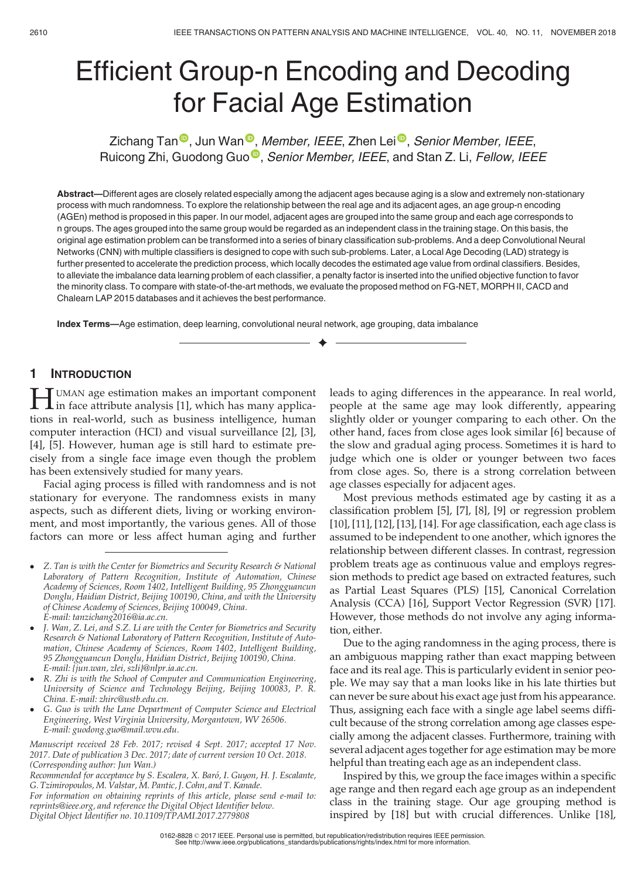# Efficient Group-n Encoding and Decoding for Facial Age Estimation

Zichang Tan<sup>®</sup>, Jun Wan<sup>®</sup>, Member, IEEE, Zhen Lei<sup>®</sup>, Senior Member, IEEE, Ruicong Zhi, Guodong Guo<sup>®</sup>, Senior Member, IEEE, and Stan Z. Li, Fellow, IEEE

Abstract—Different ages are closely related especially among the adjacent ages because aging is a slow and extremely non-stationary process with much randomness. To explore the relationship between the real age and its adjacent ages, an age group-n encoding (AGEn) method is proposed in this paper. In our model, adjacent ages are grouped into the same group and each age corresponds to n groups. The ages grouped into the same group would be regarded as an independent class in the training stage. On this basis, the original age estimation problem can be transformed into a series of binary classification sub-problems. And a deep Convolutional Neural Networks (CNN) with multiple classifiers is designed to cope with such sub-problems. Later, a Local Age Decoding (LAD) strategy is further presented to accelerate the prediction process, which locally decodes the estimated age value from ordinal classifiers. Besides, to alleviate the imbalance data learning problem of each classifier, a penalty factor is inserted into the unified objective function to favor the minority class. To compare with state-of-the-art methods, we evaluate the proposed method on FG-NET, MORPH II, CACD and Chalearn LAP 2015 databases and it achieves the best performance.

 $\bigstar$ 

Index Terms—Age estimation, deep learning, convolutional neural network, age grouping, data imbalance

## 1 INTRODUCTION

**HUMAN age estimation makes an important component**<br>in face attribute analysis [1], which has many applica-<br>tions in goal world, such as husiness intelligence, human tions in real-world, such as business intelligence, human computer interaction (HCI) and visual surveillance [2], [3], [4], [5]. However, human age is still hard to estimate precisely from a single face image even though the problem has been extensively studied for many years.

Facial aging process is filled with randomness and is not stationary for everyone. The randomness exists in many aspects, such as different diets, living or working environment, and most importantly, the various genes. All of those factors can more or less affect human aging and further

- R. Zhi is with the School of Computer and Communication Engineering, University of Science and Technology Beijing, Beijing 100083, P. R. China. E-mail: zhirc@ustb.edu.cn.
- G. Guo is with the Lane Department of Computer Science and Electrical Engineering, West Virginia University, Morgantown, WV 26506. E-mail: guodong.guo@mail.wvu.edu.

Manuscript received 28 Feb. 2017; revised 4 Sept. 2017; accepted 17 Nov. 2017. Date of publication 3 Dec. 2017; date of current version 10 Oct. 2018. (Corresponding author: Jun Wan.)

Recommended for acceptance by S. Escalera, X. Baró, I. Guyon, H. J. Escalante, G. Tzimiropoulos, M. Valstar, M. Pantic, J. Cohn, and T. Kanade.

For information on obtaining reprints of this article, please send e-mail to: reprints@ieee.org, and reference the Digital Object Identifier below. Digital Object Identifier no. 10.1109/TPAMI.2017.2779808

leads to aging differences in the appearance. In real world, people at the same age may look differently, appearing slightly older or younger comparing to each other. On the other hand, faces from close ages look similar [6] because of the slow and gradual aging process. Sometimes it is hard to judge which one is older or younger between two faces from close ages. So, there is a strong correlation between age classes especially for adjacent ages.

Most previous methods estimated age by casting it as a classification problem [5], [7], [8], [9] or regression problem [10], [11], [12], [13], [14]. For age classification, each age class is assumed to be independent to one another, which ignores the relationship between different classes. In contrast, regression problem treats age as continuous value and employs regression methods to predict age based on extracted features, such as Partial Least Squares (PLS) [15], Canonical Correlation Analysis (CCA) [16], Support Vector Regression (SVR) [17]. However, those methods do not involve any aging information, either.

Due to the aging randomness in the aging process, there is an ambiguous mapping rather than exact mapping between face and its real age. This is particularly evident in senior people. We may say that a man looks like in his late thirties but can never be sure about his exact age just from his appearance. Thus, assigning each face with a single age label seems difficult because of the strong correlation among age classes especially among the adjacent classes. Furthermore, training with several adjacent ages together for age estimation may be more helpful than treating each age as an independent class.

Inspired by this, we group the face images within a specific age range and then regard each age group as an independent class in the training stage. Our age grouping method is inspired by [18] but with crucial differences. Unlike [18],

Z. Tan is with the Center for Biometrics and Security Research & National Laboratory of Pattern Recognition, Institute of Automation, Chinese Academy of Sciences, Room 1402, Intelligent Building, 95 Zhongguancun Donglu, Haidian District, Beijing 100190, China, and with the University of Chinese Academy of Sciences, Beijing 100049, China. E-mail: tanzichang2016@ia.ac.cn.

J. Wan, Z. Lei, and S.Z. Li are with the Center for Biometrics and Security Research & National Laboratory of Pattern Recognition, Institute of Automation, Chinese Academy of Sciences, Room 1402, Intelligent Building, 95 Zhongguancun Donglu, Haidian District, Beijing 100190, China. E-mail: {jun.wan, zlei, szli}@nlpr.ia.ac.cn.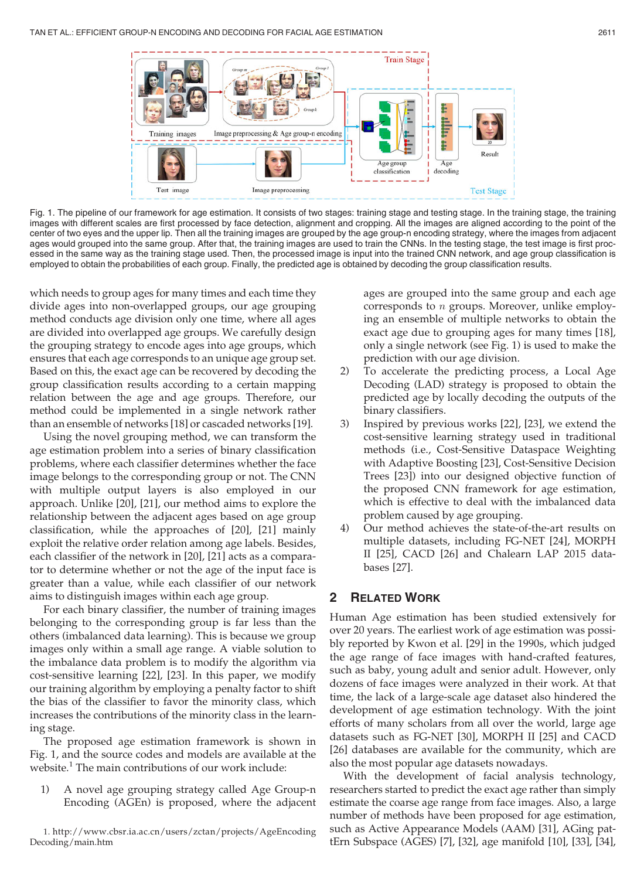

Fig. 1. The pipeline of our framework for age estimation. It consists of two stages: training stage and testing stage. In the training stage, the training images with different scales are first processed by face detection, alignment and cropping. All the images are aligned according to the point of the center of two eyes and the upper lip. Then all the training images are grouped by the age group-n encoding strategy, where the images from adjacent ages would grouped into the same group. After that, the training images are used to train the CNNs. In the testing stage, the test image is first processed in the same way as the training stage used. Then, the processed image is input into the trained CNN network, and age group classification is employed to obtain the probabilities of each group. Finally, the predicted age is obtained by decoding the group classification results.

which needs to group ages for many times and each time they divide ages into non-overlapped groups, our age grouping method conducts age division only one time, where all ages are divided into overlapped age groups. We carefully design the grouping strategy to encode ages into age groups, which ensures that each age corresponds to an unique age group set. Based on this, the exact age can be recovered by decoding the group classification results according to a certain mapping relation between the age and age groups. Therefore, our method could be implemented in a single network rather than an ensemble of networks [18] or cascaded networks [19].

Using the novel grouping method, we can transform the age estimation problem into a series of binary classification problems, where each classifier determines whether the face image belongs to the corresponding group or not. The CNN with multiple output layers is also employed in our approach. Unlike [20], [21], our method aims to explore the relationship between the adjacent ages based on age group classification, while the approaches of [20], [21] mainly exploit the relative order relation among age labels. Besides, each classifier of the network in [20], [21] acts as a comparator to determine whether or not the age of the input face is greater than a value, while each classifier of our network aims to distinguish images within each age group.

For each binary classifier, the number of training images belonging to the corresponding group is far less than the others (imbalanced data learning). This is because we group images only within a small age range. A viable solution to the imbalance data problem is to modify the algorithm via cost-sensitive learning [22], [23]. In this paper, we modify our training algorithm by employing a penalty factor to shift the bias of the classifier to favor the minority class, which increases the contributions of the minority class in the learning stage.

The proposed age estimation framework is shown in Fig. 1, and the source codes and models are available at the website.<sup>1</sup> The main contributions of our work include:

1) A novel age grouping strategy called Age Group-n Encoding (AGEn) is proposed, where the adjacent

1. http://www.cbsr.ia.ac.cn/users/zctan/projects/AgeEncoding Decoding/main.htm

ages are grouped into the same group and each age corresponds to n groups. Moreover, unlike employing an ensemble of multiple networks to obtain the exact age due to grouping ages for many times [18], only a single network (see Fig. 1) is used to make the prediction with our age division.

- 2) To accelerate the predicting process, a Local Age Decoding (LAD) strategy is proposed to obtain the predicted age by locally decoding the outputs of the binary classifiers.
- 3) Inspired by previous works [22], [23], we extend the cost-sensitive learning strategy used in traditional methods (i.e., Cost-Sensitive Dataspace Weighting with Adaptive Boosting [23], Cost-Sensitive Decision Trees [23]) into our designed objective function of the proposed CNN framework for age estimation, which is effective to deal with the imbalanced data problem caused by age grouping.
- 4) Our method achieves the state-of-the-art results on multiple datasets, including FG-NET [24], MORPH II [25], CACD [26] and Chalearn LAP 2015 databases [27].

## 2 RELATED WORK

Human Age estimation has been studied extensively for over 20 years. The earliest work of age estimation was possibly reported by Kwon et al. [29] in the 1990s, which judged the age range of face images with hand-crafted features, such as baby, young adult and senior adult. However, only dozens of face images were analyzed in their work. At that time, the lack of a large-scale age dataset also hindered the development of age estimation technology. With the joint efforts of many scholars from all over the world, large age datasets such as FG-NET [30], MORPH II [25] and CACD [26] databases are available for the community, which are also the most popular age datasets nowadays.

With the development of facial analysis technology, researchers started to predict the exact age rather than simply estimate the coarse age range from face images. Also, a large number of methods have been proposed for age estimation, such as Active Appearance Models (AAM) [31], AGing pattErn Subspace (AGES) [7], [32], age manifold [10], [33], [34],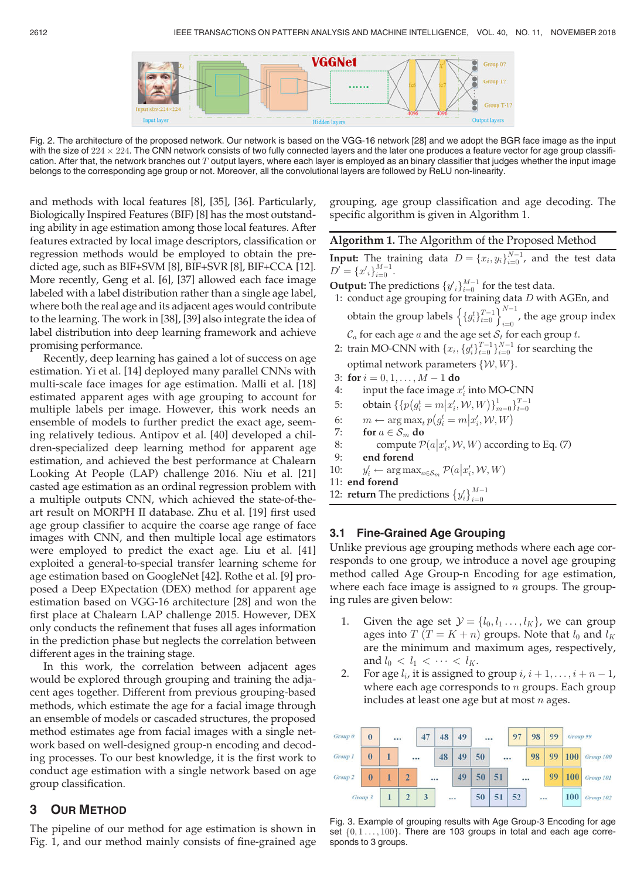

Fig. 2. The architecture of the proposed network. Our network is based on the VGG-16 network [28] and we adopt the BGR face image as the input with the size of  $224 \times 224$ . The CNN network consists of two fully connected with the size of  $224\times224.$  The CNN network consists of two fully connected layers and the later one produces a feature vector for age group classifi-<br>cation. After that, the network branches out  $T$  output layers, where belongs to the corresponding age group or not. Moreover, all the convolutional layers are followed by ReLU non-linearity.

and methods with local features [8], [35], [36]. Particularly, Biologically Inspired Features (BIF) [8] has the most outstanding ability in age estimation among those local features. After features extracted by local image descriptors, classification or regression methods would be employed to obtain the predicted age, such as BIF+SVM [8], BIF+SVR [8], BIF+CCA [12]. More recently, Geng et al. [6], [37] allowed each face image labeled with a label distribution rather than a single age label, where both the real age and its adjacent ages would contribute to the learning. The work in [38], [39] also integrate the idea of label distribution into deep learning framework and achieve promising performance.

Recently, deep learning has gained a lot of success on age estimation. Yi et al. [14] deployed many parallel CNNs with multi-scale face images for age estimation. Malli et al. [18] estimated apparent ages with age grouping to account for multiple labels per image. However, this work needs an ensemble of models to further predict the exact age, seeming relatively tedious. Antipov et al. [40] developed a children-specialized deep learning method for apparent age estimation, and achieved the best performance at Chalearn Looking At People (LAP) challenge 2016. Niu et al. [21] casted age estimation as an ordinal regression problem with a multiple outputs CNN, which achieved the state-of-theart result on MORPH II database. Zhu et al. [19] first used age group classifier to acquire the coarse age range of face images with CNN, and then multiple local age estimators were employed to predict the exact age. Liu et al. [41] exploited a general-to-special transfer learning scheme for age estimation based on GoogleNet [42]. Rothe et al. [9] proposed a Deep EXpectation (DEX) method for apparent age estimation based on VGG-16 architecture [28] and won the first place at Chalearn LAP challenge 2015. However, DEX only conducts the refinement that fuses all ages information in the prediction phase but neglects the correlation between different ages in the training stage.

In this work, the correlation between adjacent ages would be explored through grouping and training the adjacent ages together. Different from previous grouping-based methods, which estimate the age for a facial image through an ensemble of models or cascaded structures, the proposed method estimates age from facial images with a single network based on well-designed group-n encoding and decoding processes. To our best knowledge, it is the first work to conduct age estimation with a single network based on age group classification.

## 3 OUR METHOD

The pipeline of our method for age estimation is shown in Fig. 1, and our method mainly consists of fine-grained age grouping, age group classification and age decoding. The specific algorithm is given in Algorithm 1.

|  |  | Algorithm 1. The Algorithm of the Proposed Method |  |
|--|--|---------------------------------------------------|--|
|--|--|---------------------------------------------------|--|

**Input:** The training data  $D = \{x_i, y_i\}_{i=0}^{N-1}$ , and the test data  $D' = \{x' \cdot \}_{i=1}^{M-1}$  $D' = \{x'_i\}_{i=0}^{M-1}$  $\frac{m-1}{i=0}$ .<br>1. . . . .

**Output:** The predictions  $\{y_i\}_{i=0}^{M-1}$  for the test data.<br>1. conduct age grouping for training data D with

- 1: conduct age grouping for training data  $D$  with AGEn, and obtain the group labels  $\left\{ \{g_i^t\}_{t=0}^{T-1} \right\}$  $\left\{ \{g_i^t\}_{t=0}^{T-1} \right\}_{i=0}^{N-1}$ , the age group index  $C_a$  for each age a and the age set  $S_t$  for each group t.
- 2: train MO-CNN with  $\{x_i, \{g_i^t\}_{t=0}^{T-1}\}_{i=0}^{N-1}$  for searching the optimal network parameters  $\{W, W\}$ .
- 
- 3: for  $i = 0, 1, \ldots, M 1$  do<br>4: input the face image *x* 4: input the face image  $x'_i$  into MO-CNN
- 5: obtain  $\{p(g_i^t = m | x_i', W, W)\}_{m=0}^T$   $\}_{i=0}^{T-1}$
- 6:  $m \leftarrow \arg \max_{t} p(g_i^t = m | x_i^t, W, W)$ <br>7: for  $a \in S$  do
- 7: for  $a \in S_m$  do 8: compute  $\mathcal{P}$
- 8: compute  $\mathcal{P}(a|x'_i, W, W)$  according to Eq. (7)
- 9: end forend
- $10:$  $\mathcal{P}_i \leftarrow \argmax_{a \in \mathcal{S}_m} \mathcal{P}(a|x'_i, \mathcal{W}, W)$ forend
- 11: end forend

#### 12: **return** The predictions  $\{y'_i\}_{i=0}^{M-1}$  $\frac{i=0}{\cdot}$

## 3.1 Fine-Grained Age Grouping

Unlike previous age grouping methods where each age corresponds to one group, we introduce a novel age grouping method called Age Group-n Encoding for age estimation, where each face image is assigned to  $n$  groups. The grouping rules are given below:

- Given the age set  $\mathcal{Y} = \{l_0, l_1 \dots, l_K\}$ , we can group ages into  $T(T = K + n)$  groups. Note that  $l_0$  and  $l_K$ are the minimum and maximum ages, respectively, and  $l_0 < l_1 < \cdots < l_K$ .
- 2. For age  $l_i$ , it is assigned to group  $i, i+1, \ldots, i+n-1$ , where each age corresponds to  $n$  groups. Each group includes at least one age but at most  $n$  ages.



Fig. 3. Example of grouping results with Age Group-3 Encoding for age set  $\{0, 1, \ldots, 100\}$ . There are 103 groups in total and each age corresponds to 3 groups.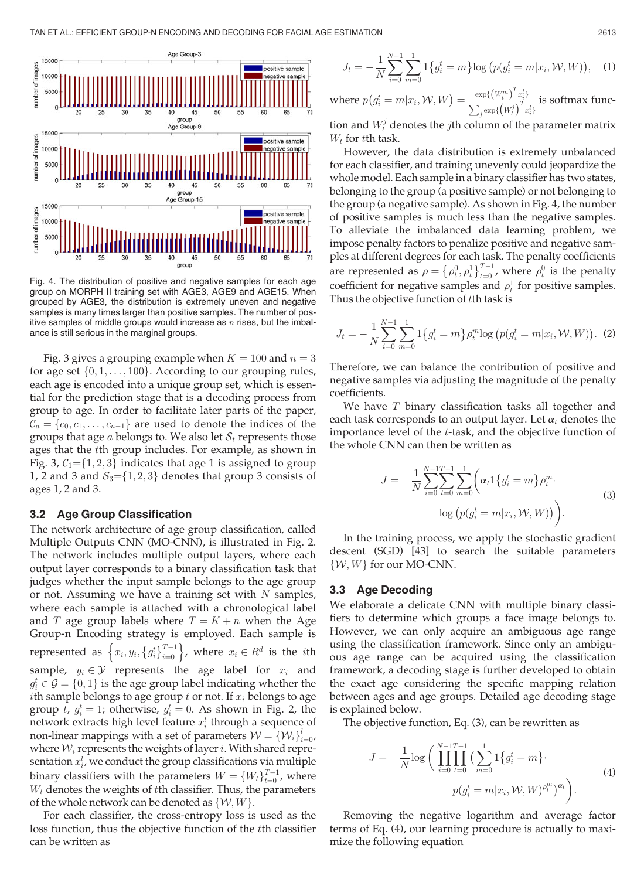

Fig. 4. The distribution of positive and negative samples for each age group on MORPH II training set with AGE3, AGE9 and AGE15. When grouped by AGE3, the distribution is extremely uneven and negative samples is many times larger than positive samples. The number of positive samples of middle groups would increase as  $n$  rises, but the imbalance is still serious in the marginal groups.

Fig. 3 gives a grouping example when  $K = 100$  and  $n = 3$ for age set  $\{0, 1, \ldots, 100\}$ . According to our grouping rules, each age is encoded into a unique group set, which is essential for the prediction stage that is a decoding process from group to age. In order to facilitate later parts of the paper,  $\mathcal{C}_a = \{c_0, c_1, \ldots, c_{n-1}\}\$ are used to denote the indices of the groups that age  $a$  belongs to. We also let  $S_t$  represents those ages that the tth group includes. For example, as shown in Fig. 3,  $C_1 = \{1, 2, 3\}$  indicates that age 1 is assigned to group 1, 2 and 3 and  $S_3 = \{1, 2, 3\}$  denotes that group 3 consists of ages 1, 2 and 3.

#### 3.2 Age Group Classification

The network architecture of age group classification, called Multiple Outputs CNN (MO-CNN), is illustrated in Fig. 2. The network includes multiple output layers, where each output layer corresponds to a binary classification task that judges whether the input sample belongs to the age group or not. Assuming we have a training set with  $N$  samples, where each sample is attached with a chronological label and T age group labels where  $T = K + n$  when the Age Group-n Encoding strategy is employed. Each sample is represented as  $\left\{x_i, y_i, \left\{g_i^t\right\}_{i=0}^{T-1}\right\}$  $\left\{x_i, y_i, \left\{g_i^t\right\}_{i=0}^{T-1}\right\}$ , where  $x_i \in R^d$  is the *i*th sample,  $y_i \in \mathcal{Y}$  represents the age label for  $x_i$  and  $g_i^t \in \mathcal{G} = \{0, 1\}$  is the age group label indicating whether the  $i$ th sample belongs to age group  $t$  or not If  $x$ , belongs to age *i*th sample belongs to age group  $t$  or not. If  $x_i$  belongs to age group t,  $g_i^t = 1$ ; otherwise,  $g_i^t = 0$ . As shown in Fig. 2, the network extracts bigh level feature  $x^t$  through a sequence of network extracts high level feature  $x_i^l$  through a sequence of non-linear mappings with a set of parameters  $\mathcal{W} = \{ \mathcal{W}_i \}_{i=0}^l$ <br>where  $\mathcal{W}_i$  represents the weights of layer i. With shared reprewhere  $W_i$  represents the weights of layer i. With shared representation  $x_i^l$ , we conduct the group classifications via multiple binary classifiers with the parameters  $W = \{W_t\}_{t=0}^{T-1}$ , where  $W_t$  denotes the weights of the classifier. Thus, the parameters  $W_t$  denotes the weights of tth classifier. Thus, the parameters of the whole network can be denoted as  $\{W, W\}.$ 

For each classifier, the cross-entropy loss is used as the loss function, thus the objective function of the tth classifier can be written as

$$
J_t = -\frac{1}{N} \sum_{i=0}^{N-1} \sum_{m=0}^{1} 1\left\{g_i^t = m\right\} \log \left(p(g_i^t = m | x_i, \mathcal{W}, W)\right), \quad (1)
$$

where  $p(g_i^t = m | x_i, \mathcal{W}, W) = \frac{\exp\{(W_t^m)^T x_i^l\}}{\sum_j \exp\{(W_t^j)^T x_i^l\}}$ is softmax func-

tion and  $W_t^j$  denotes the *j*th column of the parameter matrix  $W_t$  for tth task.

However, the data distribution is extremely unbalanced for each classifier, and training unevenly could jeopardize the whole model. Each sample in a binary classifier has two states, belonging to the group (a positive sample) or not belonging to the group (a negative sample). As shown in Fig. 4, the number of positive samples is much less than the negative samples. To alleviate the imbalanced data learning problem, we impose penalty factors to penalize positive and negative samples at different degrees for each task. The penalty coefficients are represented as  $\rho = \{\rho_i^0, \rho_i^1\}_{i=0}^{T-1}$ , where  $\rho_i^0$  is the penalty coefficient for persitive samples and  $\rho_i^1$  for positive samples coefficient for negative samples and  $\rho_t^1$  for positive samples. Thus the objective function of tth task is

$$
J_t = -\frac{1}{N} \sum_{i=0}^{N-1} \sum_{m=0}^{1} 1\big\{g_i^t = m\big\} \rho_t^m \log \big(p(g_i^t = m | x_i, \mathcal{W}, W)\big).
$$
 (2)

Therefore, we can balance the contribution of positive and negative samples via adjusting the magnitude of the penalty coefficients.

We have  $T$  binary classification tasks all together and each task corresponds to an output layer. Let  $\alpha_t$  denotes the importance level of the t-task, and the objective function of the whole CNN can then be written as

$$
J = -\frac{1}{N} \sum_{i=0}^{N-1} \sum_{t=0}^{T-1} \sum_{m=0}^{1} \left( \alpha_t \mathbb{1} \{ g_i^t = m \} \rho_i^m \right)
$$
  

$$
\log \left( p(g_i^t = m | x_i, \mathcal{W}, W) \right).
$$
 (3)

In the training process, we apply the stochastic gradient descent (SGD) [43] to search the suitable parameters  $\{W, W\}$  for our MO-CNN.

#### 3.3 Age Decoding

We elaborate a delicate CNN with multiple binary classifiers to determine which groups a face image belongs to. However, we can only acquire an ambiguous age range using the classification framework. Since only an ambiguous age range can be acquired using the classification framework, a decoding stage is further developed to obtain the exact age considering the specific mapping relation between ages and age groups. Detailed age decoding stage is explained below.

The objective function, Eq. (3), can be rewritten as

$$
J = -\frac{1}{N} \log \bigg( \prod_{i=0}^{N-1} \prod_{t=0}^{T-1} \big( \sum_{m=0}^{1} 1\big\{ g_i^t = m \big\} \cdot \n\bigg)
$$
  

$$
p(g_i^t = m | x_i, \mathcal{W}, W)^{\rho_i^m} \bigg)^{\alpha_t} \bigg).
$$
 (4)

Removing the negative logarithm and average factor terms of Eq. (4), our learning procedure is actually to maximize the following equation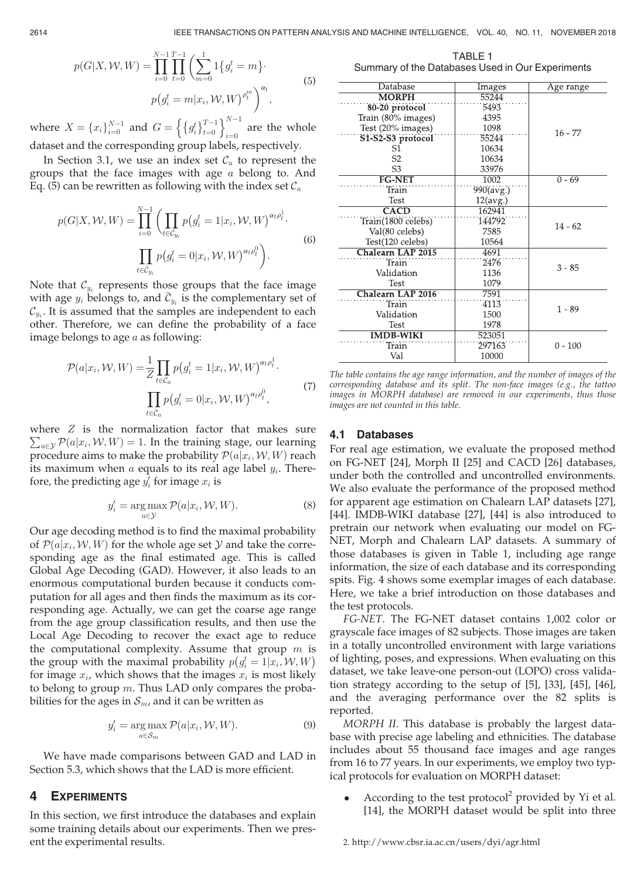$$
p(G|X, W, W) = \prod_{i=0}^{N-1} \prod_{t=0}^{T-1} \left( \sum_{m=0}^{1} 1\{g_i^t = m\} \cdot \right)
$$
  

$$
p(g_i^t = m|x_i, W, W)^{\rho_i^m} \right)^{\alpha_t},
$$
 (5)

where  $X = \{x_i\}_{i=0}^{N-1}$  and  $G = \left\{\{g_i^t\}_{t=0}^{T-1}\right\}$  $x=0$  $\left\{\int d^t x^{T-1}\right\}^{N-1}$  $i=0$ are the whole dataset and the corresponding group labels, respectively.

In Section 3.1, we use an index set  $\mathcal{C}_a$  to represent the groups that the face images with age a belong to. And Eq. (5) can be rewritten as following with the index set  $\mathcal{C}_a$ 

$$
p(G|X, W, W) = \prod_{i=0}^{N-1} \left( \prod_{t \in C_{y_i}} p(g_i^t = 1|x_i, W, W)^{\alpha_t \rho_t^1} \right)
$$

$$
\prod_{t \in \bar{C}_{y_i}} p(g_i^t = 0|x_i, W, W)^{\alpha_t \rho_t^0} \right).
$$
(6)

Note that  $\mathcal{C}_{y_i}$  represents those groups that the face image with age  $y_i$  belongs to, and  $\mathcal{C}_{y_i}$  is the complementary set of  $\mathcal{C}$  . It is assumed that the samples are independent to each  $\mathcal{C}_{y_i}$ . It is assumed that the samples are independent to each other. Therefore, we can define the probability of a face image belongs to age  $a$  as following:

$$
\mathcal{P}(a|x_i, \mathcal{W}, W) = \frac{1}{Z} \prod_{t \in \mathcal{C}_a} p(g_i^t = 1|x_i, \mathcal{W}, W)^{\alpha_t \rho_t^1}.
$$
  

$$
\prod_{t \in \bar{\mathcal{C}}_a} p(g_i^t = 0|x_i, \mathcal{W}, W)^{\alpha_t \rho_t^0},
$$
(7)

where Z is the normalization factor that makes sure  $\sum_{a \in \mathcal{Y}} \mathcal{P}(a|x_i, \mathcal{W}, W) = 1$ . In the training stage, our learning procedure aims to make the probability  $\mathcal{P}(a|x|, \mathcal{W}, W)$  reach procedure aims to make the probability  $\mathcal{P}(a|x_i, \mathcal{W}, W)$  reach its maximum when a equals to its real age label  $y_i$ . Therefore, the predicting age  $y'_i$  for image  $x_i$  is

$$
y_i' = \underset{a \in \mathcal{Y}}{\arg \max} \mathcal{P}(a|x_i, \mathcal{W}, W). \tag{8}
$$

Our age decoding method is to find the maximal probability of  $\mathcal{P}(a|x_i, W, W)$  for the whole age set Y and take the corresponding age as the final estimated age. This is called Global Age Decoding (GAD). However, it also leads to an enormous computational burden because it conducts computation for all ages and then finds the maximum as its corresponding age. Actually, we can get the coarse age range from the age group classification results, and then use the Local Age Decoding to recover the exact age to reduce the computational complexity. Assume that group  $m$  is the group with the maximal probability  $p(g_i^t = 1 | x_i, W, W)$ <br>for image  $x_i$ , which shows that the images  $x_i$  is most likely for image  $x_i$ , which shows that the images  $x_i$  is most likely to belong to group  $m$ . Thus LAD only compares the probabilities for the ages in  $S_m$ , and it can be written as

$$
y_i' = \underset{a \in \mathcal{S}_m}{\arg \max} \mathcal{P}(a|x_i, \mathcal{W}, W). \tag{9}
$$

We have made comparisons between GAD and LAD in Section 5.3, which shows that the LAD is more efficient.

## **EXPERIMENTS**

In this section, we first introduce the databases and explain some training details about our experiments. Then we present the experimental results.

TABLE 1 Summary of the Databases Used in Our Experiments

| Database                 | Images            | Age range |  |
|--------------------------|-------------------|-----------|--|
| <b>MORPH</b>             | 55244             |           |  |
| 80-20 protocol           | 5493              |           |  |
| Train (80% images)       | 4395              |           |  |
| Test (20% images)        | 1098              | $16 - 77$ |  |
| S1-S2-S3 protocol        | 55244             |           |  |
| S1                       | 10634             |           |  |
| S <sub>2</sub>           | 10634             |           |  |
| S3                       | 33976             |           |  |
| <b>FG-NET</b>            | 1002              | $0 - 69$  |  |
| Train                    | $990 \times 99$   |           |  |
| Test                     | $12(\text{avg.})$ |           |  |
| <b>CACD</b>              | 162941            |           |  |
| Train(1800 celebs)       | 144792            | $14 - 62$ |  |
| Val(80 celebs)           | 7585              |           |  |
| Test(120 celebs)         | 10564             |           |  |
| <b>Chalearn LAP 2015</b> | 4691              |           |  |
| Train                    | 2476              | $3 - 85$  |  |
| Validation               | 1136              |           |  |
| Test                     | 1079              |           |  |
| Chalearn LAP 2016        | 7591              |           |  |
| Train                    | 4113              | $1 - 89$  |  |
| Validation               | 1500              |           |  |
| Test                     | 1978              |           |  |
| <b>IMDB-WIKI</b>         | 523051            |           |  |
| Train                    | 297163            | $0 - 100$ |  |
| Val                      | 10000             |           |  |
|                          |                   |           |  |

The table contains the age range information, and the number of images of the corresponding database and its split. The non-face images (e.g., the tattoo images in MORPH database) are removed in our experiments, thus those images are not counted in this table.

#### 4.1 Databases

For real age estimation, we evaluate the proposed method on FG-NET [24], Morph II [25] and CACD [26] databases, under both the controlled and uncontrolled environments. We also evaluate the performance of the proposed method for apparent age estimation on Chalearn LAP datasets [27], [44]. IMDB-WIKI database [27], [44] is also introduced to pretrain our network when evaluating our model on FG-NET, Morph and Chalearn LAP datasets. A summary of those databases is given in Table 1, including age range information, the size of each database and its corresponding spits. Fig. 4 shows some exemplar images of each database. Here, we take a brief introduction on those databases and the test protocols.

FG-NET. The FG-NET dataset contains 1,002 color or grayscale face images of 82 subjects. Those images are taken in a totally uncontrolled environment with large variations of lighting, poses, and expressions. When evaluating on this dataset, we take leave-one person-out (LOPO) cross validation strategy according to the setup of [5], [33], [45], [46], and the averaging performance over the 82 splits is reported.

MORPH II. This database is probably the largest database with precise age labeling and ethnicities. The database includes about 55 thousand face images and age ranges from 16 to 77 years. In our experiments, we employ two typical protocols for evaluation on MORPH dataset:

According to the test protocol<sup>2</sup> provided by Yi et al. [14], the MORPH dataset would be split into three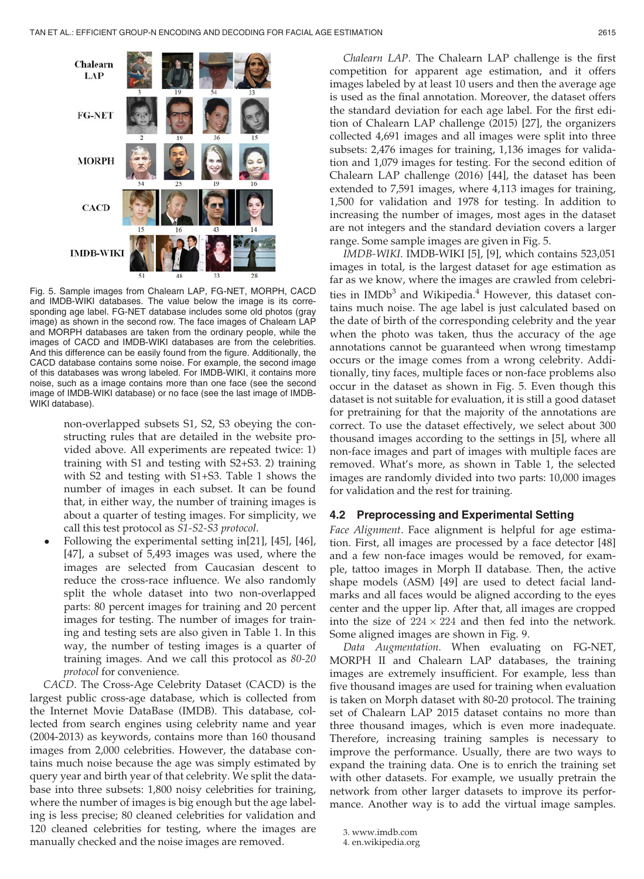

Fig. 5. Sample images from Chalearn LAP, FG-NET, MORPH, CACD and IMDB-WIKI databases. The value below the image is its corresponding age label. FG-NET database includes some old photos (gray image) as shown in the second row. The face images of Chalearn LAP and MORPH databases are taken from the ordinary people, while the images of CACD and IMDB-WIKI databases are from the celebrities. And this difference can be easily found from the figure. Additionally, the CACD database contains some noise. For example, the second image of this databases was wrong labeled. For IMDB-WIKI, it contains more noise, such as a image contains more than one face (see the second image of IMDB-WIKI database) or no face (see the last image of IMDB-WIKI database).

non-overlapped subsets S1, S2, S3 obeying the constructing rules that are detailed in the website provided above. All experiments are repeated twice: 1) training with S1 and testing with S2+S3. 2) training with S2 and testing with S1+S3. Table 1 shows the number of images in each subset. It can be found that, in either way, the number of training images is about a quarter of testing images. For simplicity, we call this test protocol as S1-S2-S3 protocol.

 Following the experimental setting in[21], [45], [46], [47], a subset of 5,493 images was used, where the images are selected from Caucasian descent to reduce the cross-race influence. We also randomly split the whole dataset into two non-overlapped parts: 80 percent images for training and 20 percent images for testing. The number of images for training and testing sets are also given in Table 1. In this way, the number of testing images is a quarter of training images. And we call this protocol as 80-20 protocol for convenience.

CACD. The Cross-Age Celebrity Dataset (CACD) is the largest public cross-age database, which is collected from the Internet Movie DataBase (IMDB). This database, collected from search engines using celebrity name and year (2004-2013) as keywords, contains more than 160 thousand images from 2,000 celebrities. However, the database contains much noise because the age was simply estimated by query year and birth year of that celebrity. We split the database into three subsets: 1,800 noisy celebrities for training, where the number of images is big enough but the age labeling is less precise; 80 cleaned celebrities for validation and 120 cleaned celebrities for testing, where the images are manually checked and the noise images are removed.

Chalearn LAP. The Chalearn LAP challenge is the first competition for apparent age estimation, and it offers images labeled by at least 10 users and then the average age is used as the final annotation. Moreover, the dataset offers the standard deviation for each age label. For the first edition of Chalearn LAP challenge (2015) [27], the organizers collected 4,691 images and all images were split into three subsets: 2,476 images for training, 1,136 images for validation and 1,079 images for testing. For the second edition of Chalearn LAP challenge (2016) [44], the dataset has been extended to 7,591 images, where 4,113 images for training, 1,500 for validation and 1978 for testing. In addition to increasing the number of images, most ages in the dataset are not integers and the standard deviation covers a larger range. Some sample images are given in Fig. 5.

IMDB-WIKI. IMDB-WIKI [5], [9], which contains 523,051 images in total, is the largest dataset for age estimation as far as we know, where the images are crawled from celebrities in  $IMDb<sup>3</sup>$  and Wikipedia.<sup>4</sup> However, this dataset contains much noise. The age label is just calculated based on the date of birth of the corresponding celebrity and the year when the photo was taken, thus the accuracy of the age annotations cannot be guaranteed when wrong timestamp occurs or the image comes from a wrong celebrity. Additionally, tiny faces, multiple faces or non-face problems also occur in the dataset as shown in Fig. 5. Even though this dataset is not suitable for evaluation, it is still a good dataset for pretraining for that the majority of the annotations are correct. To use the dataset effectively, we select about 300 thousand images according to the settings in [5], where all non-face images and part of images with multiple faces are removed. What's more, as shown in Table 1, the selected images are randomly divided into two parts: 10,000 images for validation and the rest for training.

## 4.2 Preprocessing and Experimental Setting

Face Alignment. Face alignment is helpful for age estimation. First, all images are processed by a face detector [48] and a few non-face images would be removed, for example, tattoo images in Morph II database. Then, the active shape models (ASM) [49] are used to detect facial landmarks and all faces would be aligned according to the eyes center and the upper lip. After that, all images are cropped into the size of  $224 \times 224$  and then fed into the network. Some aligned images are shown in Fig. 9.

Data Augmentation. When evaluating on FG-NET, MORPH II and Chalearn LAP databases, the training images are extremely insufficient. For example, less than five thousand images are used for training when evaluation is taken on Morph dataset with 80-20 protocol. The training set of Chalearn LAP 2015 dataset contains no more than three thousand images, which is even more inadequate. Therefore, increasing training samples is necessary to improve the performance. Usually, there are two ways to expand the training data. One is to enrich the training set with other datasets. For example, we usually pretrain the network from other larger datasets to improve its performance. Another way is to add the virtual image samples.

3. www.imdb.com

<sup>4.</sup> en.wikipedia.org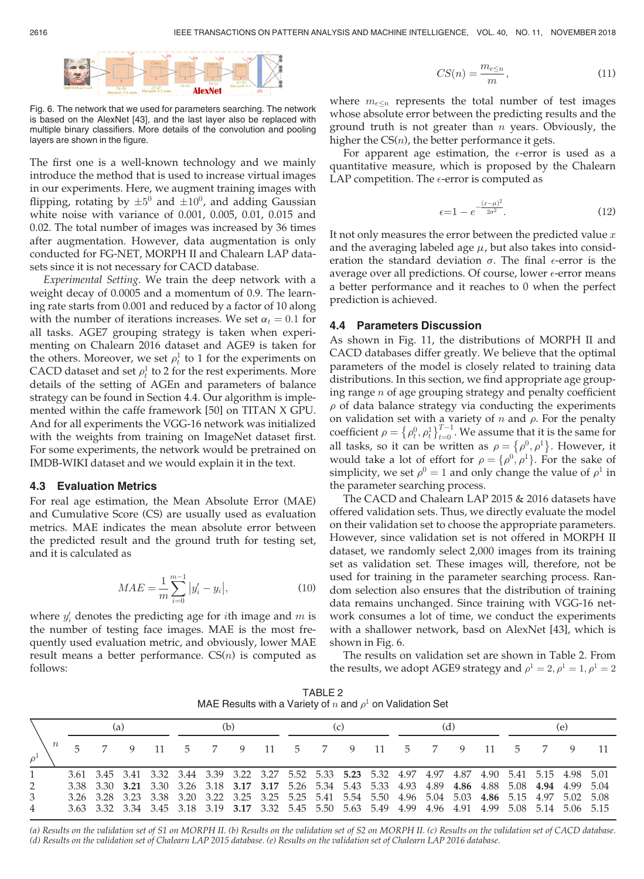

Fig. 6. The network that we used for parameters searching. The network is based on the AlexNet [43], and the last layer also be replaced with multiple binary classifiers. More details of the convolution and pooling layers are shown in the figure.

The first one is a well-known technology and we mainly introduce the method that is used to increase virtual images in our experiments. Here, we augment training images with flipping, rotating by  $\pm 5^0$  and  $\pm 10^0$ , and adding Gaussian white noise with variance of 0.001, 0.005, 0.01, 0.015 and 0.02. The total number of images was increased by 36 times after augmentation. However, data augmentation is only conducted for FG-NET, MORPH II and Chalearn LAP datasets since it is not necessary for CACD database.

Experimental Setting. We train the deep network with a weight decay of 0.0005 and a momentum of 0.9. The learning rate starts from 0.001 and reduced by a factor of 10 along with the number of iterations increases. We set  $\alpha_t = 0.1$  for all tasks. AGE7 grouping strategy is taken when experimenting on Chalearn 2016 dataset and AGE9 is taken for the others. Moreover, we set  $\rho_t^1$  to 1 for the experiments on CACD dataset and set  $\rho_t^1$  to 2 for the rest experiments. More details of the setting of AGEn and parameters of balance strategy can be found in Section 4.4. Our algorithm is implemented within the caffe framework [50] on TITAN X GPU. And for all experiments the VGG-16 network was initialized with the weights from training on ImageNet dataset first. For some experiments, the network would be pretrained on IMDB-WIKI dataset and we would explain it in the text.

## 4.3 Evaluation Metrics

For real age estimation, the Mean Absolute Error (MAE) and Cumulative Score (CS) are usually used as evaluation metrics. MAE indicates the mean absolute error between the predicted result and the ground truth for testing set, and it is calculated as

$$
MAE = \frac{1}{m} \sum_{i=0}^{m-1} |y'_i - y_i|,
$$
\n(10)

where  $y'_i$  denotes the predicting age for *i*th image and *m* is the number of testing face images. MAE is the most frequently used evaluation metric, and obviously, lower MAE result means a better performance.  $CS(n)$  is computed as follows:

$$
CS(n) = \frac{m_{e\leq n}}{m},\tag{11}
$$

where  $m_{e\leq n}$  represents the total number of test images whose absolute error between the predicting results and the ground truth is not greater than  $n$  years. Obviously, the higher the  $CS(n)$ , the better performance it gets.

For apparent age estimation, the  $\epsilon\text{-error}$  is used as a quantitative measure, which is proposed by the Chalearn LAP competition. The  $\epsilon\text{-error}$  is computed as

$$
\epsilon = 1 - e^{-\frac{(x-\mu)^2}{2\sigma^2}}.
$$
\n(12)

It not only measures the error between the predicted value  $x$ and the averaging labeled age  $\mu$ , but also takes into consideration the standard deviation  $\sigma$ . The final  $\epsilon$ -error is the average over all predictions. Of course, lower  $\epsilon$ -error means a better performance and it reaches to 0 when the perfect prediction is achieved.

## 4.4 Parameters Discussion

As shown in Fig. 11, the distributions of MORPH II and CACD databases differ greatly. We believe that the optimal parameters of the model is closely related to training data distributions. In this section, we find appropriate age grouping range  $n$  of age grouping strategy and penalty coefficient  $\rho$  of data balance strategy via conducting the experiments on validation set with a variety of  $n$  and  $\rho$ . For the penalty coefficient  $\rho = \{\rho_t^0, \rho_t^1\}_{t=0}^{T-1}$ . We assume that it is the same for<br>all tasks, so it can be written as  $\rho = \{\rho_0^0, \rho_1^1\}$ . However, it all tasks, so it can be written as  $\rho = \{\rho^0, \rho^1\}$ . However, it would take a lot of effort for  $\rho = {\rho^0, \rho^1}$ . For the sake of simplicity, we set  $\rho^0 = 1$  and only change the value of  $\rho^1$  in the parameter searching process.

The CACD and Chalearn LAP 2015 & 2016 datasets have offered validation sets. Thus, we directly evaluate the model on their validation set to choose the appropriate parameters. However, since validation set is not offered in MORPH II dataset, we randomly select 2,000 images from its training set as validation set. These images will, therefore, not be used for training in the parameter searching process. Random selection also ensures that the distribution of training data remains unchanged. Since training with VGG-16 network consumes a lot of time, we conduct the experiments with a shallower network, basd on AlexNet [43], which is shown in Fig. 6.

The results on validation set are shown in Table 2. From the results, we adopt AGE9 strategy and  $\rho$ <sup>1</sup> = 2,  $\rho$ <sup>1</sup> = 1,  $\rho$ <sup>1</sup> = 2

TABLE 2 MAE Results with a Variety of n and  $\rho^1$  on Validation Set

|                     | (a) |  | (b)                                                                                                                                                                                                        |  | (c) |  | (d) |  |  | e) |  |
|---------------------|-----|--|------------------------------------------------------------------------------------------------------------------------------------------------------------------------------------------------------------|--|-----|--|-----|--|--|----|--|
| $\,n$<br>$\rho^1$   |     |  | 5 7 9 11 5 7 9 11 5 7 9 11 5 7 9 11 5 7 9 11                                                                                                                                                               |  |     |  |     |  |  |    |  |
| $\overline{2}$      |     |  | 3.61 3.45 3.41 3.32 3.44 3.39 3.22 3.27 5.52 5.33 5.23 5.32 4.97 4.97 4.87 4.90 5.41 5.15 4.98 5.01<br>3.38 3.30 3.21 3.30 3.26 3.18 3.17 3.17 5.26 5.34 5.43 5.33 4.93 4.89 4.86 4.88 5.08 4.94 4.99 5.04 |  |     |  |     |  |  |    |  |
| 3<br>$\overline{4}$ |     |  | 3.26 3.28 3.23 3.38 3.20 3.22 3.25 3.25 5.25 5.41 5.54 5.50 4.96 5.04 5.03 4.86 5.15 4.97 5.02 5.08<br>3.63 3.32 3.34 3.45 3.18 3.19 3.17 3.32 5.45 5.50 5.63 5.49 4.99 4.96 4.91 4.99 5.08 5.14 5.06 5.15 |  |     |  |     |  |  |    |  |

(a) Results on the validation set of S1 on MORPH II. (b) Results on the validation set of S2 on MORPH II. (c) Results on the validation set of CACD database. (d) Results on the validation set of Chalearn LAP 2015 database. (e) Results on the validation set of Chalearn LAP 2016 database.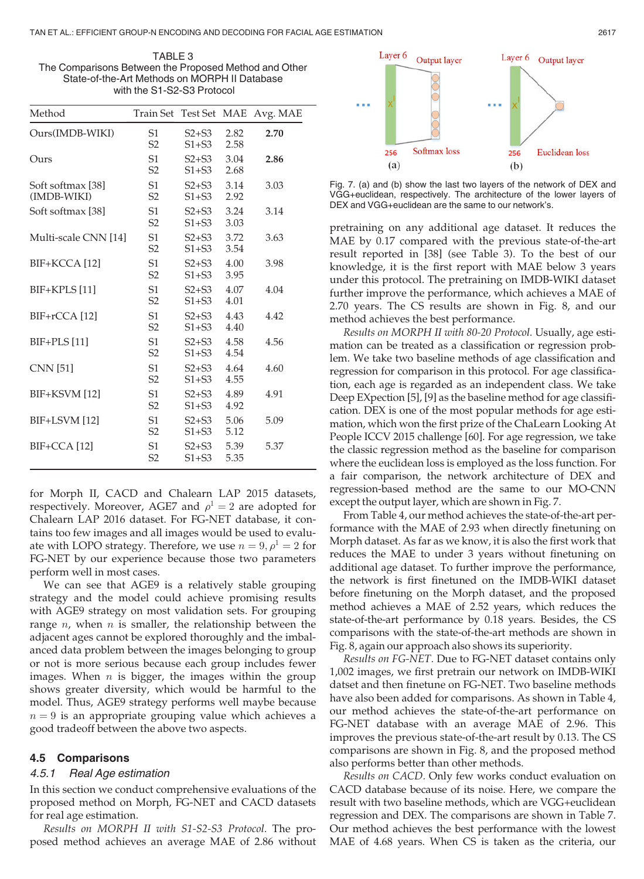TABLE 3 The Comparisons Between the Proposed Method and Other State-of-the-Art Methods on MORPH II Database with the S1-S2-S3 Protocol

| Method                           | Train Set Test Set MAE           |                        |              | Avg. MAE |
|----------------------------------|----------------------------------|------------------------|--------------|----------|
| Ours(IMDB-WIKI)                  | S <sub>1</sub><br>S <sub>2</sub> | $S2 + S3$<br>$S1 + S3$ | 2.82<br>2.58 | 2.70     |
| Ours                             | S <sub>1</sub><br>S <sub>2</sub> | $S2 + S3$<br>$S1 + S3$ | 3.04<br>2.68 | 2.86     |
| Soft softmax [38]<br>(IMDB-WIKI) | S <sub>1</sub><br>S <sub>2</sub> | $S2 + S3$<br>$S1 + S3$ | 3.14<br>2.92 | 3.03     |
| Soft softmax [38]                | S <sub>1</sub><br>S <sub>2</sub> | $S2 + S3$<br>$S1+S3$   | 3.24<br>3.03 | 3.14     |
| Multi-scale CNN [14]             | S <sub>1</sub><br>S <sub>2</sub> | $S2 + S3$<br>$S1 + S3$ | 3.72<br>3.54 | 3.63     |
| BIF+KCCA [12]                    | S <sub>1</sub><br>S <sub>2</sub> | $S2 + S3$<br>$S1 + S3$ | 4.00<br>3.95 | 3.98     |
| BIF+KPLS [11]                    | S <sub>1</sub><br>S <sub>2</sub> | $S2 + S3$<br>$S1+S3$   | 4.07<br>4.01 | 4.04     |
| BIF+rCCA [12]                    | S <sub>1</sub><br>S <sub>2</sub> | $S2+S3$<br>$S1 + S3$   | 4.43<br>4.40 | 4.42     |
| $BIF+PLS[11]$                    | S <sub>1</sub><br>S <sub>2</sub> | $S2+S3$<br>$S1 + S3$   | 4.58<br>4.54 | 4.56     |
| <b>CNN</b> [51]                  | S <sub>1</sub><br>S <sub>2</sub> | $S2 + S3$<br>$S1+S3$   | 4.64<br>4.55 | 4.60     |
| BIF+KSVM [12]                    | S <sub>1</sub><br>S <sub>2</sub> | $S2+S3$<br>$S1+S3$     | 4.89<br>4.92 | 4.91     |
| BIF+LSVM [12]                    | S <sub>1</sub><br>S <sub>2</sub> | $S2+S3$<br>$S1+S3$     | 5.06<br>5.12 | 5.09     |
| BIF+CCA [12]                     | S <sub>1</sub><br>S <sub>2</sub> | $S2+S3$<br>$S1+S3$     | 5.39<br>5.35 | 5.37     |

for Morph II, CACD and Chalearn LAP 2015 datasets, respectively. Moreover, AGE7 and  $\rho$ <sup>1</sup> = 2 are adopted for Chalearn LAP 2016 dataset. For FG-NET database, it contains too few images and all images would be used to evaluate with LOPO strategy. Therefore, we use  $n = 9, \rho^1 = 2$  for FG-NET by our experience because those two parameters perform well in most cases.

We can see that AGE9 is a relatively stable grouping strategy and the model could achieve promising results with AGE9 strategy on most validation sets. For grouping range  $n$ , when  $n$  is smaller, the relationship between the adjacent ages cannot be explored thoroughly and the imbalanced data problem between the images belonging to group or not is more serious because each group includes fewer images. When  $n$  is bigger, the images within the group shows greater diversity, which would be harmful to the model. Thus, AGE9 strategy performs well maybe because  $n = 9$  is an appropriate grouping value which achieves a good tradeoff between the above two aspects.

#### 4.5 Comparisons

#### 4.5.1 Real Age estimation

In this section we conduct comprehensive evaluations of the proposed method on Morph, FG-NET and CACD datasets for real age estimation.

Results on MORPH II with S1-S2-S3 Protocol. The proposed method achieves an average MAE of 2.86 without



Fig. 7. (a) and (b) show the last two layers of the network of DEX and VGG+euclidean, respectively. The architecture of the lower layers of DEX and VGG+euclidean are the same to our network's.

pretraining on any additional age dataset. It reduces the MAE by 0.17 compared with the previous state-of-the-art result reported in [38] (see Table 3). To the best of our knowledge, it is the first report with MAE below 3 years under this protocol. The pretraining on IMDB-WIKI dataset further improve the performance, which achieves a MAE of 2.70 years. The CS results are shown in Fig. 8, and our method achieves the best performance.

Results on MORPH II with 80-20 Protocol. Usually, age estimation can be treated as a classification or regression problem. We take two baseline methods of age classification and regression for comparison in this protocol. For age classification, each age is regarded as an independent class. We take Deep EXpection [5], [9] as the baseline method for age classification. DEX is one of the most popular methods for age estimation, which won the first prize of the ChaLearn Looking At People ICCV 2015 challenge [60]. For age regression, we take the classic regression method as the baseline for comparison where the euclidean loss is employed as the loss function. For a fair comparison, the network architecture of DEX and regression-based method are the same to our MO-CNN except the output layer, which are shown in Fig. 7.

From Table 4, our method achieves the state-of-the-art performance with the MAE of 2.93 when directly finetuning on Morph dataset. As far as we know, it is also the first work that reduces the MAE to under 3 years without finetuning on additional age dataset. To further improve the performance, the network is first finetuned on the IMDB-WIKI dataset before finetuning on the Morph dataset, and the proposed method achieves a MAE of 2.52 years, which reduces the state-of-the-art performance by 0.18 years. Besides, the CS comparisons with the state-of-the-art methods are shown in Fig. 8, again our approach also shows its superiority.

Results on FG-NET. Due to FG-NET dataset contains only 1,002 images, we first pretrain our network on IMDB-WIKI datset and then finetune on FG-NET. Two baseline methods have also been added for comparisons. As shown in Table 4, our method achieves the state-of-the-art performance on FG-NET database with an average MAE of 2.96. This improves the previous state-of-the-art result by 0.13. The CS comparisons are shown in Fig. 8, and the proposed method also performs better than other methods.

Results on CACD. Only few works conduct evaluation on CACD database because of its noise. Here, we compare the result with two baseline methods, which are VGG+euclidean regression and DEX. The comparisons are shown in Table 7. Our method achieves the best performance with the lowest MAE of 4.68 years. When CS is taken as the criteria, our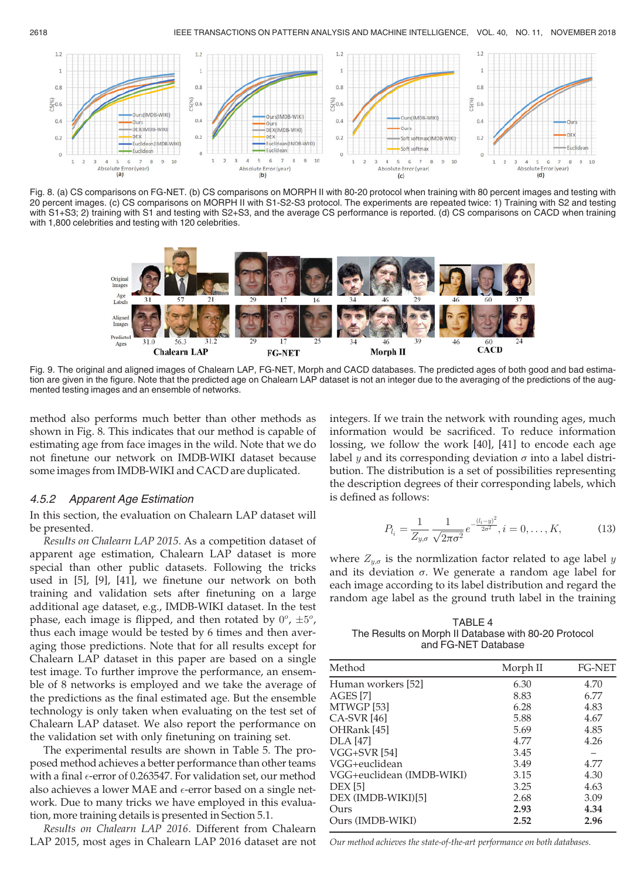

Fig. 8. (a) CS comparisons on FG-NET. (b) CS comparisons on MORPH II with 80-20 protocol when training with 80 percent images and testing with 20 percent images. (c) CS comparisons on MORPH II with S1-S2-S3 protocol. The experiments are repeated twice: 1) Training with S2 and testing with S1+S3; 2) training with S1 and testing with S2+S3, and the average CS performance is reported. (d) CS comparisons on CACD when training with 1,800 celebrities and testing with 120 celebrities.



Fig. 9. The original and aligned images of Chalearn LAP, FG-NET, Morph and CACD databases. The predicted ages of both good and bad estimation are given in the figure. Note that the predicted age on Chalearn LAP dataset is not an integer due to the averaging of the predictions of the augmented testing images and an ensemble of networks.

method also performs much better than other methods as shown in Fig. 8. This indicates that our method is capable of estimating age from face images in the wild. Note that we do not finetune our network on IMDB-WIKI dataset because some images from IMDB-WIKI and CACD are duplicated.

#### 4.5.2 Apparent Age Estimation

In this section, the evaluation on Chalearn LAP dataset will be presented.

Results on Chalearn LAP 2015. As a competition dataset of apparent age estimation, Chalearn LAP dataset is more special than other public datasets. Following the tricks used in [5], [9], [41], we finetune our network on both training and validation sets after finetuning on a large additional age dataset, e.g., IMDB-WIKI dataset. In the test phase, each image is flipped, and then rotated by  $0^o$ ,  $\pm 5^o$ , thus each image would be tested by 6 times and then averaging those predictions. Note that for all results except for Chalearn LAP dataset in this paper are based on a single test image. To further improve the performance, an ensemble of 8 networks is employed and we take the average of the predictions as the final estimated age. But the ensemble technology is only taken when evaluating on the test set of Chalearn LAP dataset. We also report the performance on the validation set with only finetuning on training set.

The experimental results are shown in Table 5. The proposed method achieves a better performance than other teams with a final  $\epsilon$ -error of 0.263547. For validation set, our method also achieves a lower MAE and  $\epsilon$ -error based on a single network. Due to many tricks we have employed in this evaluation, more training details is presented in Section 5.1.

Results on Chalearn LAP 2016. Different from Chalearn LAP 2015, most ages in Chalearn LAP 2016 dataset are not integers. If we train the network with rounding ages, much information would be sacrificed. To reduce information lossing, we follow the work [40], [41] to encode each age label y and its corresponding deviation  $\sigma$  into a label distribution. The distribution is a set of possibilities representing the description degrees of their corresponding labels, which is defined as follows:

$$
P_{l_i} = \frac{1}{Z_{y,\sigma}} \frac{1}{\sqrt{2\pi\sigma^2}} e^{-\frac{(l_i - y)^2}{2\sigma^2}}, i = 0, \dots, K,
$$
 (13)

where  $Z_{y,\sigma}$  is the normlization factor related to age label y and its deviation  $\sigma$ . We generate a random age label for each image according to its label distribution and regard the random age label as the ground truth label in the training

TABLE 4 The Results on Morph II Database with 80-20 Protocol and FG-NET Database

| Morph II | <b>FG-NET</b> |
|----------|---------------|
| 6.30     | 4.70          |
| 8.83     | 6.77          |
| 6.28     | 4.83          |
| 5.88     | 4.67          |
| 5.69     | 4.85          |
| 4.77     | 4.26          |
| 3.45     |               |
| 3.49     | 4.77          |
| 3.15     | 4.30          |
| 3.25     | 4.63          |
| 2.68     | 3.09          |
| 2.93     | 4.34          |
| 2.52     | 2.96          |
|          |               |

Our method achieves the state-of-the-art performance on both databases.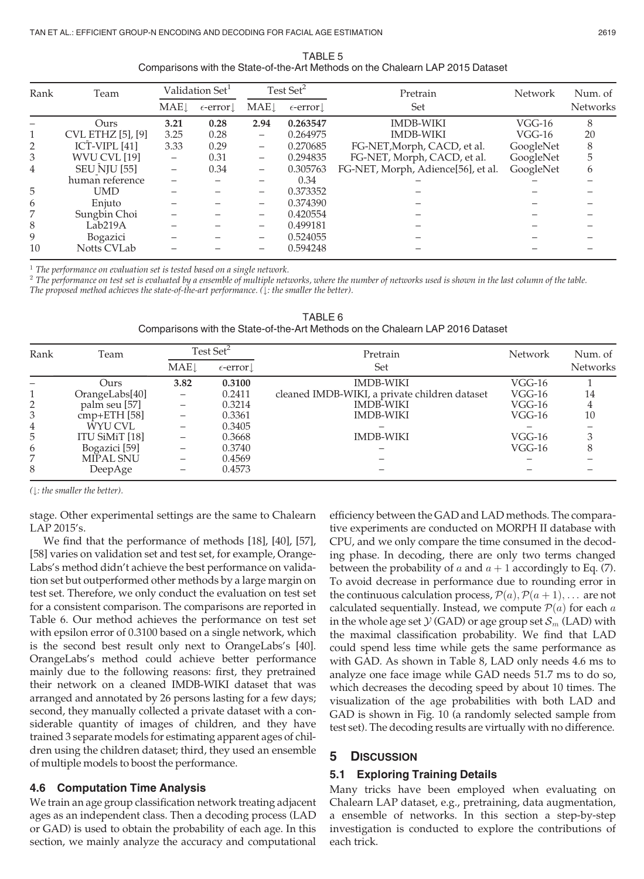| TABLE 5                                                                        |
|--------------------------------------------------------------------------------|
| Comparisons with the State-of-the-Art Methods on the Chalearn LAP 2015 Dataset |

| Rank | Team                     |                          | Validation Set <sup>1</sup>    |                          | Test Set <sup>2</sup> | Pretrain                           | <b>Network</b> | Num. of         |
|------|--------------------------|--------------------------|--------------------------------|--------------------------|-----------------------|------------------------------------|----------------|-----------------|
|      |                          | $MAE\downarrow$          | $\epsilon$ -error $\downarrow$ | MAE                      | $\epsilon$ -error.    | Set                                |                | <b>Networks</b> |
|      | Ours.                    | 3.21                     | 0.28                           | 2.94                     | 0.263547              | <b>IMDB-WIKI</b>                   | $VGG-16$       | 8               |
|      | <b>CVL ETHZ</b> [5], [9] | 3.25                     | 0.28                           | $\qquad \qquad$          | 0.264975              | <b>IMDB-WIKI</b>                   | $VGG-16$       | 20              |
| 2    | ICT-VIPL $[41]$          | 3.33                     | 0.29                           | -                        | 0.270685              | FG-NET, Morph, CACD, et al.        | GoogleNet      | 8               |
| 3    | WVU CVL [19]             | $\overline{\phantom{0}}$ | 0.31                           | $\overline{\phantom{0}}$ | 0.294835              | FG-NET, Morph, CACD, et al.        | GoogleNet      | 5               |
| 4    | <b>SEU NJU [55]</b>      | -                        | 0.34                           | $\qquad \qquad$          | 0.305763              | FG-NET, Morph, Adience[56], et al. | GoogleNet      | 6               |
|      | human reference          |                          |                                |                          | 0.34                  |                                    |                |                 |
| 5    | UMD                      |                          |                                |                          | 0.373352              |                                    |                |                 |
| 6    | Enjuto                   |                          |                                |                          | 0.374390              |                                    |                |                 |
| 7    | Sungbin Choi             |                          |                                |                          | 0.420554              |                                    |                |                 |
| 8    | Lab <sub>219</sub> A     |                          |                                |                          | 0.499181              |                                    |                |                 |
| 9    | Bogazici                 |                          |                                |                          | 0.524055              |                                    |                |                 |
| 10   | Notts CVLab              |                          |                                |                          | 0.594248              |                                    |                |                 |

 $1$  The performance on evaluation set is tested based on a single network.

 $2$  The performance on test set is evaluated by a ensemble of multiple networks, where the number of networks used is shown in the last column of the table. The proposed method achieves the state-of-the-art performance.  $( \cdot )$ : the smaller the better).

| Rank | Team           | Test Set <sup>2</sup>   |                   | Pretrain                                      | <b>Network</b> | Num. of         |  |
|------|----------------|-------------------------|-------------------|-----------------------------------------------|----------------|-----------------|--|
|      |                | <b>MAE</b> <sup>1</sup> | $\epsilon$ -error | Set                                           |                | <b>Networks</b> |  |
|      | Ours           | 3.82                    | 0.3100            | <b>IMDB-WIKI</b>                              | $VGG-16$       |                 |  |
|      | OrangeLabs[40] |                         | 0.2411            | cleaned IMDB-WIKI, a private children dataset | $VGG-16$       | 14              |  |
| 2    | palm seu [57]  |                         | 0.3214            | <b>IMDB-WIKI</b>                              | $VGG-16$       |                 |  |
| 3    | $cmp+ETH$ [58] |                         | 0.3361            | <b>IMDB-WIKI</b>                              | $VGG-16$       | 10              |  |
| 4    | WYU CVL        |                         | 0.3405            |                                               |                |                 |  |
| 5    | ITU SiMiT [18] |                         | 0.3668            | <b>IMDB-WIKI</b>                              | $VGG-16$       |                 |  |
| 6    | Bogazici [59]  |                         | 0.3740            |                                               | $VGG-16$       |                 |  |
| 7    | MIPAL SNU      |                         | 0.4569            |                                               |                |                 |  |
| 8    | DeepAge        |                         | 0.4573            |                                               |                |                 |  |

TABLE 6 Comparisons with the State-of-the-Art Methods on the Chalearn LAP 2016 Dataset

 $($  $\downarrow$ : the smaller the better).

stage. Other experimental settings are the same to Chalearn LAP 2015's.

We find that the performance of methods [18], [40], [57], [58] varies on validation set and test set, for example, Orange-Labs's method didn't achieve the best performance on validation set but outperformed other methods by a large margin on test set. Therefore, we only conduct the evaluation on test set for a consistent comparison. The comparisons are reported in Table 6. Our method achieves the performance on test set with epsilon error of 0.3100 based on a single network, which is the second best result only next to OrangeLabs's [40]. OrangeLabs's method could achieve better performance mainly due to the following reasons: first, they pretrained their network on a cleaned IMDB-WIKI dataset that was arranged and annotated by 26 persons lasting for a few days; second, they manually collected a private dataset with a considerable quantity of images of children, and they have trained 3 separate models for estimating apparent ages of children using the children dataset; third, they used an ensemble of multiple models to boost the performance.

## 4.6 Computation Time Analysis

We train an age group classification network treating adjacent ages as an independent class. Then a decoding process (LAD or GAD) is used to obtain the probability of each age. In this section, we mainly analyze the accuracy and computational efficiency between the GAD and LAD methods. The comparative experiments are conducted on MORPH II database with CPU, and we only compare the time consumed in the decoding phase. In decoding, there are only two terms changed between the probability of a and  $a + 1$  accordingly to Eq. (7). To avoid decrease in performance due to rounding error in the continuous calculation process,  $\mathcal{P}(a), \mathcal{P}(a + 1), \ldots$  are not calculated sequentially. Instead, we compute  $P(a)$  for each a in the whole age set  $\mathcal{Y}$  (GAD) or age group set  $\mathcal{S}_m$  (LAD) with the maximal classification probability. We find that LAD could spend less time while gets the same performance as with GAD. As shown in Table 8, LAD only needs 4.6 ms to analyze one face image while GAD needs 51.7 ms to do so, which decreases the decoding speed by about 10 times. The visualization of the age probabilities with both LAD and GAD is shown in Fig. 10 (a randomly selected sample from test set). The decoding results are virtually with no difference.

## 5 DISCUSSION

## 5.1 Exploring Training Details

Many tricks have been employed when evaluating on Chalearn LAP dataset, e.g., pretraining, data augmentation, a ensemble of networks. In this section a step-by-step investigation is conducted to explore the contributions of each trick.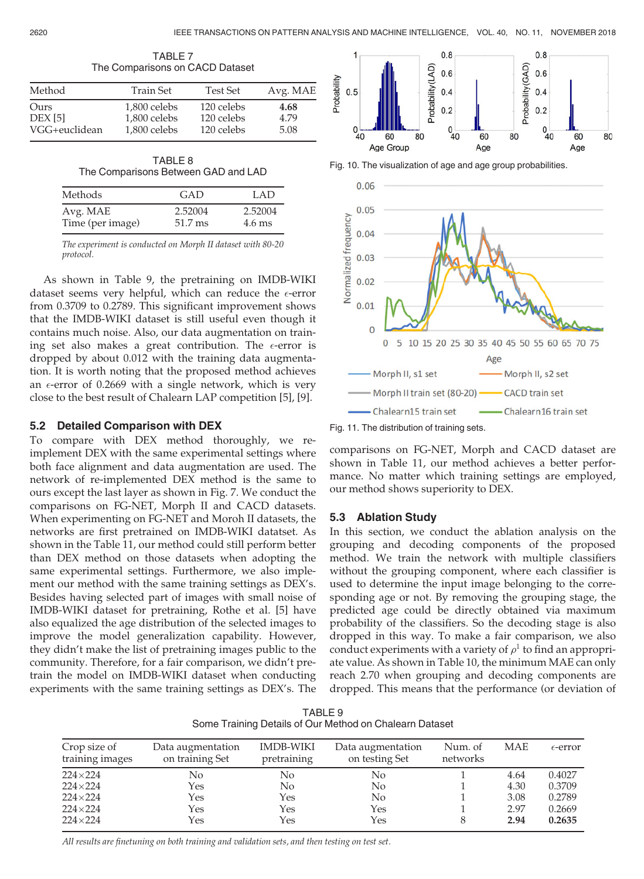|                                  | THE OUTINGHOULD UIT UNUD DATABLE             |                                        |                      |
|----------------------------------|----------------------------------------------|----------------------------------------|----------------------|
| Method                           | Train Set                                    | <b>Test Set</b>                        | Avg. MAE             |
| Ours<br>DEX [5]<br>VGG+euclidean | 1.800 celebs<br>1,800 celebs<br>1,800 celebs | 120 celebs<br>120 celebs<br>120 celebs | 4.68<br>4.79<br>5.08 |

TABLE 7 The Comparisons on CACD Dataset

| TABLE 8                             |  |
|-------------------------------------|--|
| The Comparisons Between GAD and LAD |  |

| Methods          | GAD     | LAD              |
|------------------|---------|------------------|
| Avg. MAE         | 2.52004 | 2.52004          |
| Time (per image) | 51.7 ms | $4.6 \text{ ms}$ |

The experiment is conducted on Morph II dataset with 80-20 protocol.

As shown in Table 9, the pretraining on IMDB-WIKI dataset seems very helpful, which can reduce the  $\epsilon\text{-error}$ from 0.3709 to 0.2789. This significant improvement shows that the IMDB-WIKI dataset is still useful even though it contains much noise. Also, our data augmentation on training set also makes a great contribution. The  $\epsilon\text{-error}$  is dropped by about 0.012 with the training data augmentation. It is worth noting that the proposed method achieves an  $\epsilon$ -error of 0.2669 with a single network, which is very close to the best result of Chalearn LAP competition [5], [9].

## 5.2 Detailed Comparison with DEX

To compare with DEX method thoroughly, we reimplement DEX with the same experimental settings where both face alignment and data augmentation are used. The network of re-implemented DEX method is the same to ours except the last layer as shown in Fig. 7. We conduct the comparisons on FG-NET, Morph II and CACD datasets. When experimenting on FG-NET and Moroh II datasets, the networks are first pretrained on IMDB-WIKI datatset. As shown in the Table 11, our method could still perform better than DEX method on those datasets when adopting the same experimental settings. Furthermore, we also implement our method with the same training settings as DEX's. Besides having selected part of images with small noise of IMDB-WIKI dataset for pretraining, Rothe et al. [5] have also equalized the age distribution of the selected images to improve the model generalization capability. However, they didn't make the list of pretraining images public to the community. Therefore, for a fair comparison, we didn't pretrain the model on IMDB-WIKI dataset when conducting experiments with the same training settings as DEX's. The



Fig. 10. The visualization of age and age group probabilities.



Fig. 11. The distribution of training sets.

comparisons on FG-NET, Morph and CACD dataset are shown in Table 11, our method achieves a better performance. No matter which training settings are employed, our method shows superiority to DEX.

## 5.3 Ablation Study

In this section, we conduct the ablation analysis on the grouping and decoding components of the proposed method. We train the network with multiple classifiers without the grouping component, where each classifier is used to determine the input image belonging to the corresponding age or not. By removing the grouping stage, the predicted age could be directly obtained via maximum probability of the classifiers. So the decoding stage is also dropped in this way. To make a fair comparison, we also conduct experiments with a variety of  $\rho^1$  to find an appropriate value. As shown in Table 10, the minimum MAE can only reach 2.70 when grouping and decoding components are dropped. This means that the performance (or deviation of

TABLE 9 Some Training Details of Our Method on Chalearn Dataset

| Crop size of<br>training images | Data augmentation<br>on training Set | <b>IMDB-WIKI</b><br>pretraining | Data augmentation<br>on testing Set | Num. of<br>networks | <b>MAE</b> | $\epsilon$ -error |
|---------------------------------|--------------------------------------|---------------------------------|-------------------------------------|---------------------|------------|-------------------|
| $224\times224$                  | No                                   | No                              | No.                                 |                     | 4.64       | 0.4027            |
| $224\times224$                  | Yes                                  | No.                             | N <sub>0</sub>                      |                     | 4.30       | 0.3709            |
| $224\times224$                  | Yes                                  | Yes                             | No.                                 |                     | 3.08       | 0.2789            |
| $224\times224$                  | Yes                                  | Yes                             | Yes                                 |                     | 2.97       | 0.2669            |
| $224\times224$                  | Yes                                  | Yes                             | Yes                                 |                     | 2.94       | 0.2635            |

All results are finetuning on both training and validation sets, and then testing on test set.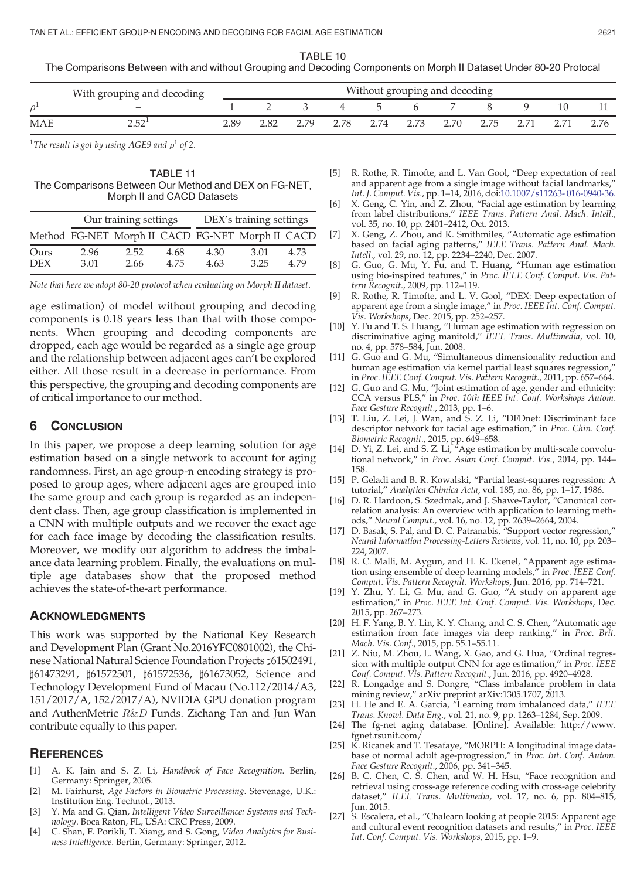TABLE 10

The Comparisons Between with and without Grouping and Decoding Components on Morph II Dataset Under 80-20 Protocal

|     | With grouping and decoding | Without grouping and decoding |  |  |          |              |   |                               |  |      |  |  |
|-----|----------------------------|-------------------------------|--|--|----------|--------------|---|-------------------------------|--|------|--|--|
|     | $-$                        |                               |  |  | $\sim$ 4 | $\mathbf{b}$ | h |                               |  |      |  |  |
| MAE | ירא ר                      | 2.89                          |  |  |          |              |   | 2.79 2.78 2.74 2.73 2.70 2.75 |  | 2.71 |  |  |

<sup>1</sup>The result is got by using AGE9 and  $\rho$ <sup>1</sup> of 2.

#### TABLE 11 The Comparisons Between Our Method and DEX on FG-NET, Morph II and CACD Datasets

|                    |              | Our training settings | DEX's training settings |              |                                                  |             |  |
|--------------------|--------------|-----------------------|-------------------------|--------------|--------------------------------------------------|-------------|--|
|                    |              |                       |                         |              | Method FG-NET Morph II CACD FG-NET Morph II CACD |             |  |
| Ours<br><b>DEX</b> | 2.96<br>3.01 | 2.52<br>2.66          | 4.68<br>4 75            | 4.30<br>4.63 | 3.01<br>3.25                                     | 4.73<br>479 |  |

Note that here we adopt 80-20 protocol when evaluating on Morph II dataset.

age estimation) of model without grouping and decoding components is 0.18 years less than that with those components. When grouping and decoding components are dropped, each age would be regarded as a single age group and the relationship between adjacent ages can't be explored either. All those result in a decrease in performance. From this perspective, the grouping and decoding components are of critical importance to our method.

#### 6 CONCLUSION

In this paper, we propose a deep learning solution for age estimation based on a single network to account for aging randomness. First, an age group-n encoding strategy is proposed to group ages, where adjacent ages are grouped into the same group and each group is regarded as an independent class. Then, age group classification is implemented in a CNN with multiple outputs and we recover the exact age for each face image by decoding the classification results. Moreover, we modify our algorithm to address the imbalance data learning problem. Finally, the evaluations on multiple age databases show that the proposed method achieves the state-of-the-art performance.

#### ACKNOWLEDGMENTS

This work was supported by the National Key Research and Development Plan (Grant No.2016YFC0801002), the Chinese National Natural Science Foundation Projects ]61502491, ]61473291, ]61572501, ]61572536, ]61673052, Science and Technology Development Fund of Macau (No.112/2014/A3, 151/2017/A, 152/2017/A), NVIDIA GPU donation program and AuthenMetric <sup>R</sup>&<sup>D</sup> Funds. Zichang Tan and Jun Wan contribute equally to this paper.

#### **REFERENCES**

- A. K. Jain and S. Z. Li, Handbook of Face Recognition. Berlin, Germany: Springer, 2005.
- [2] M. Fairhurst, Age Factors in Biometric Processing. Stevenage, U.K.: Institution Eng. Technol., 2013.
- [3] Y. Ma and G. Qian, Intelligent Video Surveillance: Systems and Technology. Boca Raton, FL, USA: CRC Press, 2009.
- [4] C. Shan, F. Porikli, T. Xiang, and S. Gong, Video Analytics for Business Intelligence. Berlin, Germany: Springer, 2012.
- [5] R. Rothe, R. Timofte, and L. Van Gool, "Deep expectation of real and apparent age from a single image without facial landmarks," Int. J. Comput. Vis., pp. 1–14, 2016, doi:10.1007/s11263- 016-0940-36.
- [6] X. Geng, C. Yin, and Z. Zhou, "Facial age estimation by learning from label distributions," IEEE Trans. Pattern Anal. Mach. Intell., vol. 35, no. 10, pp. 2401–2412, Oct. 2013.
- [7] X. Geng, Z. Zhou, and K. Smithmiles, "Automatic age estimation based on facial aging patterns," IEEE Trans. Pattern Anal. Mach. Intell., vol. 29, no. 12, pp. 2234–2240, Dec. 2007.
- [8] G. Guo, G. Mu, Y. Fu, and T. Huang, "Human age estimation using bio-inspired features," in Proc. IEEE Conf. Comput. Vis. Pattern Recognit., 2009, pp. 112–119.
- [9] R. Rothe, R. Timofte, and L. V. Gool, "DEX: Deep expectation of apparent age from a single image," in Proc. IEEE Int. Conf. Comput. Vis. Workshops, Dec. 2015, pp. 252–257.
- [10] Y. Fu and T. S. Huang, "Human age estimation with regression on discriminative aging manifold," IEEE Trans. Multimedia, vol. 10, no. 4, pp. 578–584, Jun. 2008.
- [11] G. Guo and G. Mu, "Simultaneous dimensionality reduction and human age estimation via kernel partial least squares regression," in Proc. IEEE Conf. Comput. Vis. Pattern Recognit., 2011, pp. 657–664.
- [12] G. Guo and G. Mu, "Joint estimation of age, gender and ethnicity: CCA versus PLS," in Proc. 10th IEEE Int. Conf. Workshops Autom. Face Gesture Recognit., 2013, pp. 1–6.
- [13] T. Liu, Z. Lei, J. Wan, and S. Z. Li, "DFDnet: Discriminant face descriptor network for facial age estimation," in Proc. Chin. Conf. Biometric Recognit., 2015, pp. 649–658.
- [14] D. Yi, Z. Lei, and S. Z. Li,  $n^2$ Age estimation by multi-scale convolutional network," in Proc. Asian Conf. Comput. Vis., 2014, pp. 144– 158.
- [15] P. Geladi and B. R. Kowalski, "Partial least-squares regression: A tutorial," Analytica Chimica Acta, vol. 185, no. 86, pp. 1–17, 1986.
- [16] D. R. Hardoon, S. Szedmak, and J. Shawe-Taylor, "Canonical correlation analysis: An overview with application to learning methods," Neural Comput., vol. 16, no. 12, pp. 2639–2664, 2004.
- [17] D. Basak, S. Pal, and D. C. Patranabis, "Support vector regression," Neural Information Processing-Letters Reviews, vol. 11, no. 10, pp. 203– 224, 2007.
- [18] R. C. Malli, M. Aygun, and H. K. Ekenel, "Apparent age estimation using ensemble of deep learning models," in Proc. IEEE Conf. Comput. Vis. Pattern Recognit. Workshops, Jun. 2016, pp. 714–721.
- [19] Y. Zhu, Y. Li, G. Mu, and G. Guo, "A study on apparent age estimation," in Proc. IEEE Int. Conf. Comput. Vis. Workshops, Dec. 2015, pp. 267–273.
- [20] H. F. Yang, B. Y. Lin, K. Y. Chang, and C. S. Chen, "Automatic age estimation from face images via deep ranking," in Proc. Brit. Mach. Vis. Conf., 2015, pp. 55.1–55.11.
- [21] Z. Niu, M. Zhou, L. Wang, X. Gao, and G. Hua, "Ordinal regression with multiple output CNN for age estimation," in Proc. IEEE Conf. Comput. Vis. Pattern Recognit., Jun. 2016, pp. 4920–4928.
- [22] R. Longadge and S. Dongre, "Class imbalance problem in data mining review," arXiv preprint arXiv:1305.1707, 2013.
- [23] H. He and E. A. Garcia, "Learning from imbalanced data," IEEE Trans. Knowl. Data Eng., vol. 21, no. 9, pp. 1263–1284, Sep. 2009.
- [24] The fg-net aging database. [Online]. Available: http://www. fgnet.rsunit.com/
- [25] K. Ricanek and T. Tesafaye, "MORPH: A longitudinal image database of normal adult age-progression," in Proc. Int. Conf. Autom. Face Gesture Recognit., 2006, pp. 341–345.
- [26] B. C. Chen, C. S. Chen, and W. H. Hsu, "Face recognition and retrieval using cross-age reference coding with cross-age celebrity dataset," IEEE Trans. Multimedia, vol. 17, no. 6, pp. 804-815, Jun. 2015.
- [27] S. Escalera, et al., "Chalearn looking at people 2015: Apparent age and cultural event recognition datasets and results," in Proc. IEEE Int. Conf. Comput. Vis. Workshops, 2015, pp. 1–9.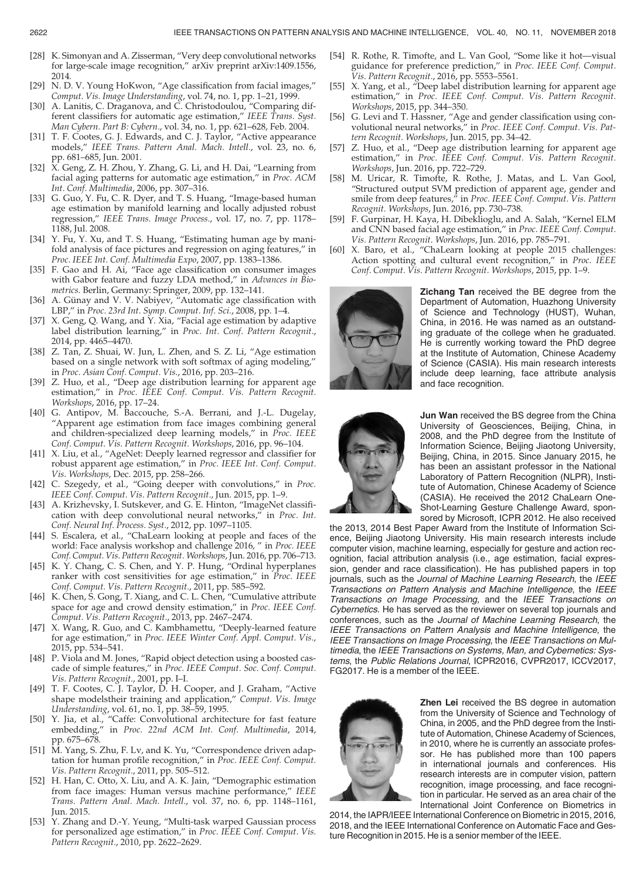- [28] K. Simonyan and A. Zisserman, "Very deep convolutional networks for large-scale image recognition," arXiv preprint arXiv:1409.1556, 2014.
- [29] N. D. V. Young HoKwon, "Age classification from facial images," Comput. Vis. Image Understanding, vol. 74, no. 1, pp. 1–21, 1999.
- [30] A. Lanitis, C. Draganova, and C. Christodoulou, "Comparing different classifiers for automatic age estimation," IEEE Trans. Syst. Man Cybern. Part B: Cybern., vol. 34, no. 1, pp. 621–628, Feb. 2004.
- [31] T. F. Cootes, G. J. Edwards, and C. J. Taylor, "Active appearance models," IEEE Trans. Pattern Anal. Mach. Intell., vol. 23, no. 6, pp. 681–685, Jun. 2001.
- [32] X. Geng, Z. H. Zhou, Y. Zhang, G. Li, and H. Dai, "Learning from facial aging patterns for automatic age estimation," in Proc. ACM Int. Conf. Multimedia, 2006, pp. 307–316.
- [33] G. Guo, Y. Fu, C. R. Dyer, and T. S. Huang, "Image-based human age estimation by manifold learning and locally adjusted robust regression," IEEE Trans. Image Process., vol. 17, no. 7, pp. 1178– 1188, Jul. 2008.
- [34] Y. Fu, Y. Xu, and T. S. Huang, "Estimating human age by manifold analysis of face pictures and regression on aging features," in Proc. IEEE Int. Conf. Multimedia Expo, 2007, pp. 1383–1386.
- [35] F. Gao and H. Ai, "Face age classification on consumer images with Gabor feature and fuzzy LDA method," in Advances in Biometrics. Berlin, Germany: Springer, 2009, pp. 132–141.
- [36] A. Günay and V. V. Nabiyev, "Automatic age classification with LBP," in Proc. 23rd Int. Symp. Comput. Inf. Sci., 2008, pp. 1–4.
- [37] X. Geng, Q. Wang, and Y. Xia, "Facial age estimation by adaptive label distribution learning," in Proc. Int. Conf. Pattern Recognit., 2014, pp. 4465–4470.
- [38] Z. Tan, Z. Shuai, W. Jun, L. Zhen, and S. Z. Li, "Age estimation based on a single network with soft softmax of aging modeling," in Proc. Asian Conf. Comput. Vis., 2016, pp. 203–216.
- [39] Z. Huo, et al., "Deep age distribution learning for apparent age estimation," in Proc. IEEE Conf. Comput. Vis. Pattern Recognit. Workshops, 2016, pp. 17–24.
- [40] G. Antipov, M. Baccouche, S.-A. Berrani, and J.-L. Dugelay, "Apparent age estimation from face images combining general and children-specialized deep learning models," in Proc. IEEE Conf. Comput. Vis. Pattern Recognit. Workshops, 2016, pp. 96–104.
- [41] X. Liu, et al., "AgeNet: Deeply learned regressor and classifier for robust apparent age estimation," in Proc. IEEE Int. Conf. Comput. Vis. Workshops, Dec. 2015, pp. 258–266.
- [42] C. Szegedy, et al., "Going deeper with convolutions," in Proc. IEEE Conf. Comput. Vis. Pattern Recognit., Jun. 2015, pp. 1–9.
- [43] A. Krizhevsky, I. Sutskever, and G. E. Hinton, "ImageNet classification with deep convolutional neural networks," in Proc. Int. Conf. Neural Inf. Process. Syst., 2012, pp. 1097-1105.
- [44] S. Escalera, et al., "ChaLearn looking at people and faces of the world: Face analysis workshop and challenge 2016, " in Proc. IEEE Conf. Comput. Vis. Pattern Recognit. Workshops, Jun. 2016, pp. 706–713.
- [45] K. Y. Chang, C. S. Chen, and Y. P. Hung, "Ordinal hyperplanes ranker with cost sensitivities for age estimation," in Proc. IEEE Conf. Comput. Vis. Pattern Recognit., 2011, pp. 585–592.
- [46] K. Chen, S. Gong, T. Xiang, and C. L. Chen, "Cumulative attribute space for age and crowd density estimation," in Proc. IEEE Conf. Comput. Vis. Pattern Recognit., 2013, pp. 2467–2474.
- [47] X. Wang, R. Guo, and C. Kambhamettu, "Deeply-learned feature for age estimation," in Proc. IEEE Winter Conf. Appl. Comput. Vis., 2015, pp. 534–541.
- [48] P. Viola and M. Jones, "Rapid object detection using a boosted cascade of simple features," in Proc. IEEE Comput. Soc. Conf. Comput. Vis. Pattern Recognit., 2001, pp. I–I.
- [49] T. F. Cootes, C. J. Taylor, D. H. Cooper, and J. Graham, "Active shape modelstheir training and application," Comput. Vis. Image Understanding, vol. 61, no. 1, pp. 38–59, 1995.
- [50] Y. Jia, et al., "Caffe: Convolutional architecture for fast feature embedding," in Proc. 22nd ACM Int. Conf. Multimedia, 2014, pp. 675–678.
- [51] M. Yang, S. Zhu, F. Lv, and K. Yu, "Correspondence driven adaptation for human profile recognition," in Proc. IEEE Conf. Comput. Vis. Pattern Recognit., 2011, pp. 505–512.
- [52] H. Han, C. Otto, X. Liu, and A. K. Jain, "Demographic estimation from face images: Human versus machine performance," IEEE Trans. Pattern Anal. Mach. Intell., vol. 37, no. 6, pp. 1148–1161, Jun. 2015.
- [53] Y. Zhang and D.-Y. Yeung, "Multi-task warped Gaussian process for personalized age estimation," in Proc. IEEE Conf. Comput. Vis. Pattern Recognit., 2010, pp. 2622–2629.
- [54] R. Rothe, R. Timofte, and L. Van Gool, "Some like it hot—visual guidance for preference prediction," in Proc. IEEE Conf. Comput. Vis. Pattern Recognit., 2016, pp. 5553–5561.
- [55] X. Yang, et al., "Deep label distribution learning for apparent age estimation," in Proc. IEEE Conf. Comput. Vis. Pattern Recognit. Workshops, 2015, pp. 344–350.
- [56] G. Levi and T. Hassner, "Age and gender classification using convolutional neural networks," in Proc. IEEE Conf. Comput. Vis. Pattern Recognit. Workshops, Jun. 2015, pp. 34–42.
- [57] Z. Huo, et al., "Deep age distribution learning for apparent age estimation," in Proc. IEEE Conf. Comput. Vis. Pattern Recognit. Workshops, Jun. 2016, pp. 722–729.
- [58] M. Uricar, R. Timofte, R. Rothe, J. Matas, and L. Van Gool, "Structured output SVM prediction of apparent age, gender and smile from deep features," in Proc. IEEE Conf. Comput. Vis. Pattern Recognit. Workshops, Jun. 2016, pp. 730–738.
- [59] F. Gurpinar, H. Kaya, H. Dibeklioglu, and A. Salah, "Kernel ELM and CNN based facial age estimation," in Proc. IEEE Conf. Comput. Vis. Pattern Recognit. Workshops, Jun. 2016, pp. 785–791.
- [60] X. Baro, et al., "ChaLearn looking at people 2015 challenges: Action spotting and cultural event recognition," in Proc. IEEE Conf. Comput. Vis. Pattern Recognit. Workshops, 2015, pp. 1–9.



**Zichang Tan** received the BE degree from the Department of Automation, Huazhong University of Science and Technology (HUST), Wuhan, China, in 2016. He was named as an outstanding graduate of the college when he graduated. He is currently working toward the PhD degree at the Institute of Automation, Chinese Academy of Science (CASIA). His main research interests include deep learning, face attribute analysis and face recognition.



Jun Wan received the BS degree from the China University of Geosciences, Beijing, China, in 2008, and the PhD degree from the Institute of Information Science, Beijing Jiaotong University, Beijing, China, in 2015. Since January 2015, he has been an assistant professor in the National Laboratory of Pattern Recognition (NLPR), Institute of Automation, Chinese Academy of Science (CASIA). He received the 2012 ChaLearn One-Shot-Learning Gesture Challenge Award, sponsored by Microsoft, ICPR 2012. He also received

the 2013, 2014 Best Paper Award from the Institute of Information Science, Beijing Jiaotong University. His main research interests include computer vision, machine learning, especially for gesture and action recognition, facial attribution analysis (i.e., age estimation, facial expression, gender and race classification). He has published papers in top journals, such as the Journal of Machine Learning Research, the IEEE Transactions on Pattern Analysis and Machine Intelligence, the IEEE Transactions on Image Processing, and the IEEE Transactions on Cybernetics. He has served as the reviewer on several top journals and conferences, such as the Journal of Machine Learning Research, the IEEE Transactions on Pattern Analysis and Machine Intelligence, the IEEE Transactions on Image Processing, the IEEE Transactions on Multimedia, the IEEE Transactions on Systems, Man, and Cybernetics: Systems, the Public Relations Journal, ICPR2016, CVPR2017, ICCV2017, FG2017. He is a member of the IEEE.



**Zhen Lei** received the BS degree in automation from the University of Science and Technology of China, in 2005, and the PhD degree from the Institute of Automation, Chinese Academy of Sciences, in 2010, where he is currently an associate professor. He has published more than 100 papers in international journals and conferences. His research interests are in computer vision, pattern recognition, image processing, and face recognition in particular. He served as an area chair of the International Joint Conference on Biometrics in

2014, the IAPR/IEEE International Conference on Biometric in 2015, 2016, 2018, and the IEEE International Conference on Automatic Face and Gesture Recognition in 2015. He is a senior member of the IEEE.